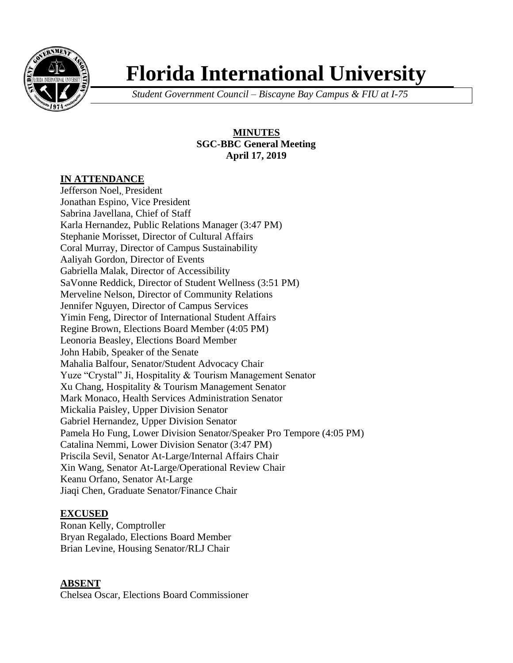

# **Florida International University**

*Student Government Council – Biscayne Bay Campus & FIU at I-75*

# **MINUTES SGC-BBC General Meeting April 17, 2019**

# **IN ATTENDANCE**

Jefferson Noel, President Jonathan Espino, Vice President Sabrina Javellana, Chief of Staff Karla Hernandez, Public Relations Manager (3:47 PM) Stephanie Morisset, Director of Cultural Affairs Coral Murray, Director of Campus Sustainability Aaliyah Gordon, Director of Events Gabriella Malak, Director of Accessibility SaVonne Reddick, Director of Student Wellness (3:51 PM) Merveline Nelson, Director of Community Relations Jennifer Nguyen, Director of Campus Services Yimin Feng, Director of International Student Affairs Regine Brown, Elections Board Member (4:05 PM) Leonoria Beasley, Elections Board Member John Habib, Speaker of the Senate Mahalia Balfour, Senator/Student Advocacy Chair Yuze "Crystal" Ji, Hospitality & Tourism Management Senator Xu Chang, Hospitality & Tourism Management Senator Mark Monaco, Health Services Administration Senator Mickalia Paisley, Upper Division Senator Gabriel Hernandez, Upper Division Senator Pamela Ho Fung, Lower Division Senator/Speaker Pro Tempore (4:05 PM) Catalina Nemmi, Lower Division Senator (3:47 PM) Priscila Sevil, Senator At-Large/Internal Affairs Chair Xin Wang, Senator At-Large/Operational Review Chair Keanu Orfano, Senator At-Large Jiaqi Chen, Graduate Senator/Finance Chair

# **EXCUSED**

Ronan Kelly, Comptroller Bryan Regalado, Elections Board Member Brian Levine, Housing Senator/RLJ Chair

# **ABSENT**

Chelsea Oscar, Elections Board Commissioner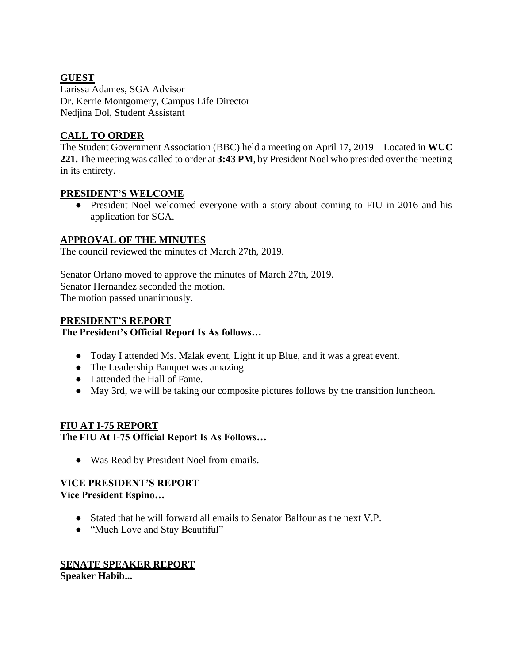# **GUEST**

Larissa Adames, SGA Advisor Dr. Kerrie Montgomery, Campus Life Director Nedjina Dol, Student Assistant

# **CALL TO ORDER**

The Student Government Association (BBC) held a meeting on April 17, 2019 – Located in **WUC 221.** The meeting was called to order at **3:43 PM**, by President Noel who presided over the meeting in its entirety.

# **PRESIDENT'S WELCOME**

• President Noel welcomed everyone with a story about coming to FIU in 2016 and his application for SGA.

# **APPROVAL OF THE MINUTES**

The council reviewed the minutes of March 27th, 2019.

Senator Orfano moved to approve the minutes of March 27th, 2019. Senator Hernandez seconded the motion. The motion passed unanimously.

# **PRESIDENT'S REPORT**

## **The President's Official Report Is As follows…**

- Today I attended Ms. Malak event, Light it up Blue, and it was a great event.
- The Leadership Banquet was amazing.
- I attended the Hall of Fame.
- May 3rd, we will be taking our composite pictures follows by the transition luncheon.

# **FIU AT I-75 REPORT The FIU At I-75 Official Report Is As Follows…**

● Was Read by President Noel from emails.

# **VICE PRESIDENT'S REPORT**

## **Vice President Espino…**

- Stated that he will forward all emails to Senator Balfour as the next V.P.
- "Much Love and Stay Beautiful"

## **SENATE SPEAKER REPORT Speaker Habib...**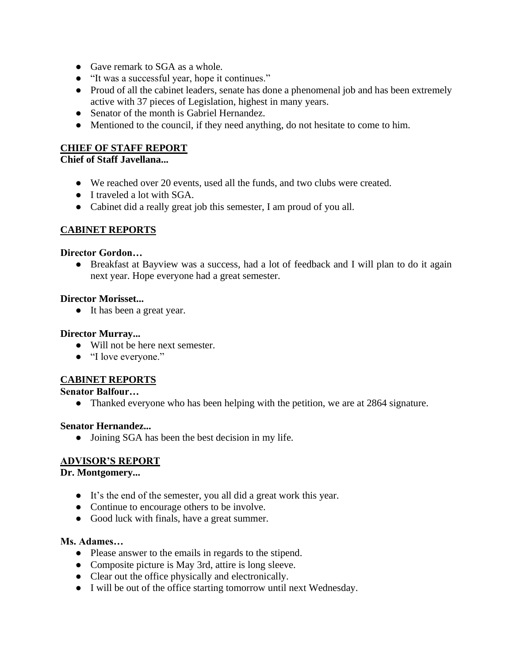- Gave remark to SGA as a whole.
- "It was a successful year, hope it continues."
- Proud of all the cabinet leaders, senate has done a phenomenal job and has been extremely active with 37 pieces of Legislation, highest in many years.
- Senator of the month is Gabriel Hernandez.
- Mentioned to the council, if they need anything, do not hesitate to come to him.

## **CHIEF OF STAFF REPORT**

# **Chief of Staff Javellana...**

- We reached over 20 events, used all the funds, and two clubs were created.
- I traveled a lot with SGA.
- Cabinet did a really great job this semester, I am proud of you all.

# **CABINET REPORTS**

#### **Director Gordon…**

● Breakfast at Bayview was a success, had a lot of feedback and I will plan to do it again next year. Hope everyone had a great semester.

#### **Director Morisset...**

● It has been a great year.

#### **Director Murray...**

- Will not be here next semester.
- "I love everyone."

# **CABINET REPORTS**

#### **Senator Balfour…**

• Thanked everyone who has been helping with the petition, we are at 2864 signature.

#### **Senator Hernandez...**

• Joining SGA has been the best decision in my life.

#### **ADVISOR'S REPORT**

#### **Dr. Montgomery...**

- It's the end of the semester, you all did a great work this year.
- Continue to encourage others to be involve.
- Good luck with finals, have a great summer.

#### **Ms. Adames…**

- Please answer to the emails in regards to the stipend.
- Composite picture is May 3rd, attire is long sleeve.
- Clear out the office physically and electronically.
- I will be out of the office starting tomorrow until next Wednesday.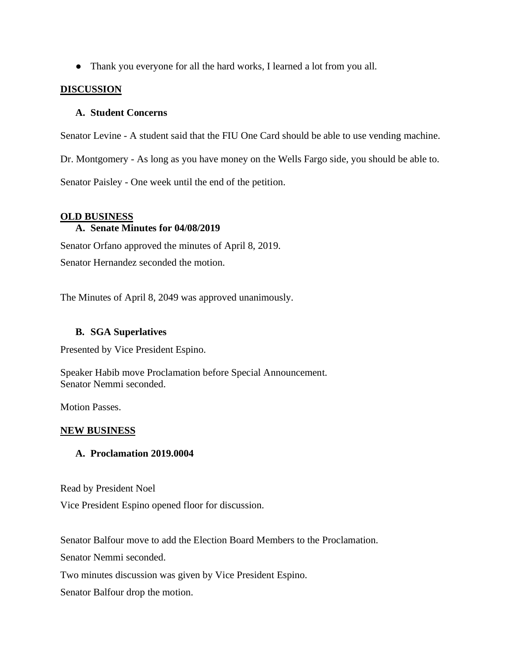● Thank you everyone for all the hard works, I learned a lot from you all.

## **DISCUSSION**

## **A. Student Concerns**

Senator Levine - A student said that the FIU One Card should be able to use vending machine.

Dr. Montgomery - As long as you have money on the Wells Fargo side, you should be able to.

Senator Paisley - One week until the end of the petition.

#### **OLD BUSINESS**

## **A. Senate Minutes for 04/08/2019**

Senator Orfano approved the minutes of April 8, 2019. Senator Hernandez seconded the motion.

The Minutes of April 8, 2049 was approved unanimously.

## **B. SGA Superlatives**

Presented by Vice President Espino.

Speaker Habib move Proclamation before Special Announcement. Senator Nemmi seconded.

Motion Passes.

#### **NEW BUSINESS**

#### **A. Proclamation 2019.0004**

Read by President Noel

Vice President Espino opened floor for discussion.

Senator Balfour move to add the Election Board Members to the Proclamation.

Senator Nemmi seconded.

Two minutes discussion was given by Vice President Espino.

Senator Balfour drop the motion.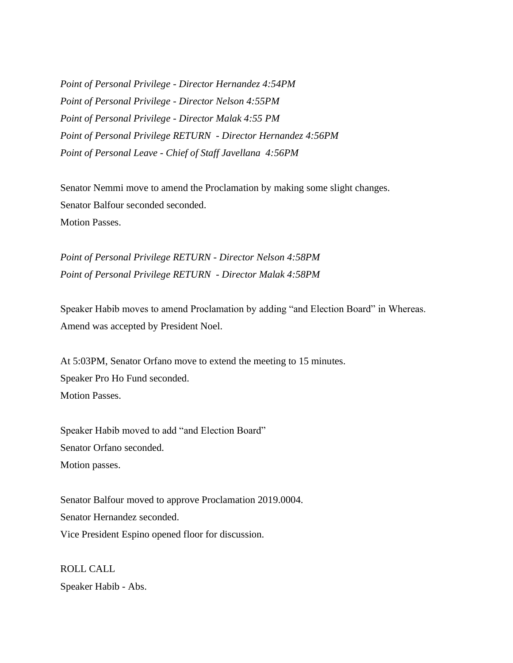*Point of Personal Privilege - Director Hernandez 4:54PM Point of Personal Privilege - Director Nelson 4:55PM Point of Personal Privilege - Director Malak 4:55 PM Point of Personal Privilege RETURN - Director Hernandez 4:56PM Point of Personal Leave - Chief of Staff Javellana 4:56PM*

Senator Nemmi move to amend the Proclamation by making some slight changes. Senator Balfour seconded seconded. Motion Passes.

*Point of Personal Privilege RETURN - Director Nelson 4:58PM Point of Personal Privilege RETURN - Director Malak 4:58PM*

Speaker Habib moves to amend Proclamation by adding "and Election Board" in Whereas. Amend was accepted by President Noel.

At 5:03PM, Senator Orfano move to extend the meeting to 15 minutes. Speaker Pro Ho Fund seconded. Motion Passes.

Speaker Habib moved to add "and Election Board" Senator Orfano seconded. Motion passes.

Senator Balfour moved to approve Proclamation 2019.0004. Senator Hernandez seconded. Vice President Espino opened floor for discussion.

ROLL CALL Speaker Habib - Abs.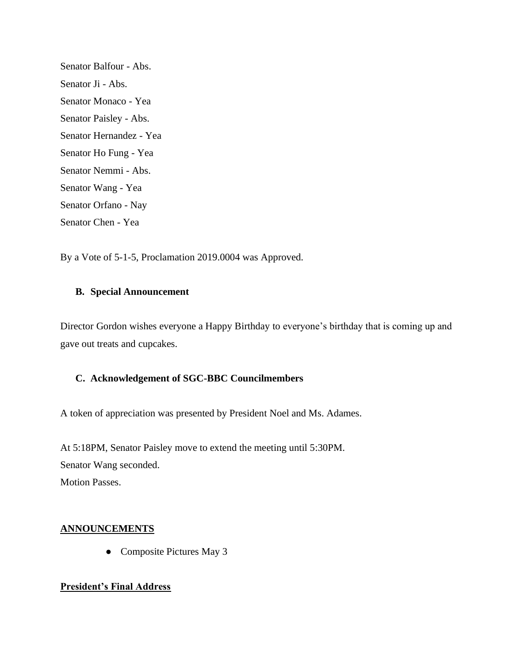Senator Balfour - Abs. Senator Ji - Abs. Senator Monaco - Yea Senator Paisley - Abs. Senator Hernandez - Yea Senator Ho Fung - Yea Senator Nemmi - Abs. Senator Wang - Yea Senator Orfano - Nay Senator Chen - Yea

By a Vote of 5-1-5, Proclamation 2019.0004 was Approved.

#### **B. Special Announcement**

Director Gordon wishes everyone a Happy Birthday to everyone's birthday that is coming up and gave out treats and cupcakes.

#### **C. Acknowledgement of SGC-BBC Councilmembers**

A token of appreciation was presented by President Noel and Ms. Adames.

At 5:18PM, Senator Paisley move to extend the meeting until 5:30PM. Senator Wang seconded. Motion Passes.

#### **ANNOUNCEMENTS**

• Composite Pictures May 3

#### **President's Final Address**